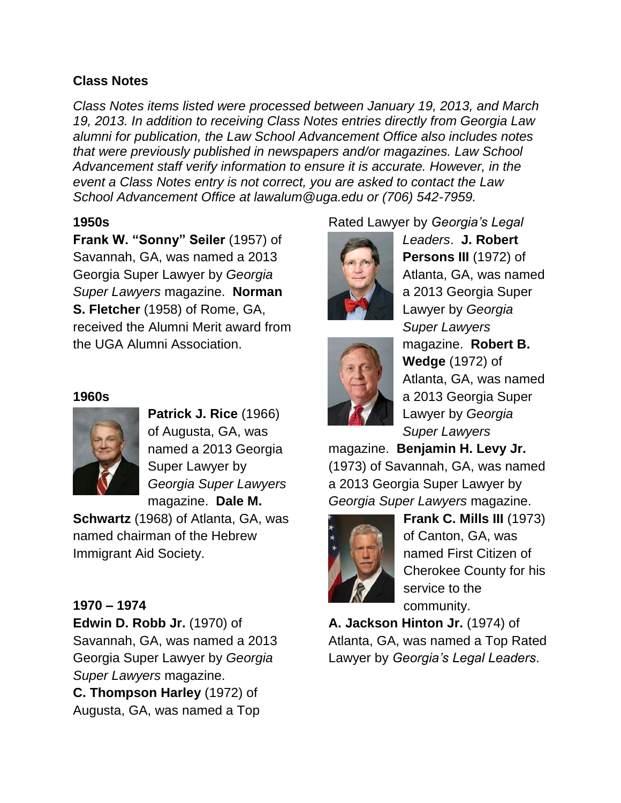# **Class Notes**

*Class Notes items listed were processed between January 19, 2013, and March 19, 2013. In addition to receiving Class Notes entries directly from Georgia Law alumni for publication, the Law School Advancement Office also includes notes that were previously published in newspapers and/or magazines. Law School Advancement staff verify information to ensure it is accurate. However, in the event a Class Notes entry is not correct, you are asked to contact the Law School Advancement Office at lawalum@uga.edu or (706) 542-7959.*

# **1950s**

**Frank W. "Sonny" Seiler** (1957) of Savannah, GA, was named a 2013 Georgia Super Lawyer by *Georgia Super Lawyers* magazine. **Norman S. Fletcher** (1958) of Rome, GA, received the Alumni Merit award from the UGA Alumni Association.

## **1960s**



**Patrick J. Rice** (1966) of Augusta, GA, was named a 2013 Georgia Super Lawyer by *Georgia Super Lawyers* magazine. **Dale M.** 

**Schwartz** (1968) of Atlanta, GA, was named chairman of the Hebrew Immigrant Aid Society.

# **1970 – 1974**

**Edwin D. Robb Jr.** (1970) of Savannah, GA, was named a 2013 Georgia Super Lawyer by *Georgia Super Lawyers* magazine.

**C. Thompson Harley** (1972) of Augusta, GA, was named a Top

# Rated Lawyer by *Georgia's Legal*





*Leaders*. **J. Robert Persons III** (1972) of Atlanta, GA, was named a 2013 Georgia Super Lawyer by *Georgia Super Lawyers* magazine. **Robert B. Wedge** (1972) of Atlanta, GA, was named a 2013 Georgia Super Lawyer by *Georgia Super Lawyers*

magazine. **Benjamin H. Levy Jr.** (1973) of Savannah, GA, was named a 2013 Georgia Super Lawyer by *Georgia Super Lawyers* magazine.



**Frank C. Mills III** (1973) of Canton, GA, was named First Citizen of Cherokee County for his service to the community.

**A. Jackson Hinton Jr.** (1974) of Atlanta, GA, was named a Top Rated Lawyer by *Georgia's Legal Leaders*.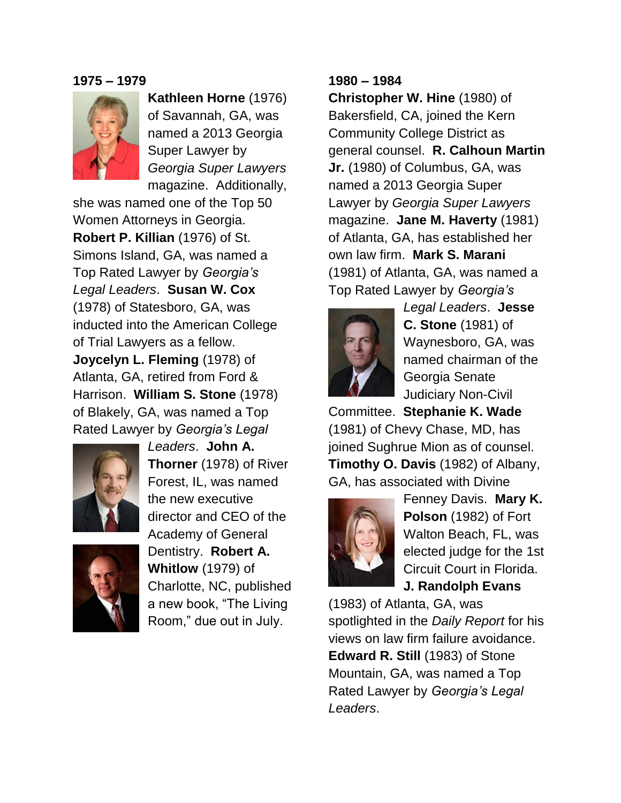#### **1975 – 1979**



**Kathleen Horne** (1976) of Savannah, GA, was named a 2013 Georgia Super Lawyer by *Georgia Super Lawyers* magazine. Additionally,

she was named one of the Top 50 Women Attorneys in Georgia. **Robert P. Killian** (1976) of St. Simons Island, GA, was named a Top Rated Lawyer by *Georgia's Legal Leaders*. **Susan W. Cox** (1978) of Statesboro, GA, was inducted into the American College of Trial Lawyers as a fellow. **Joycelyn L. Fleming** (1978) of Atlanta, GA, retired from Ford & Harrison. **William S. Stone** (1978) of Blakely, GA, was named a Top Rated Lawyer by *Georgia's Legal* 



*Leaders*. **John A. Thorner** (1978) of River Forest, IL, was named the new executive director and CEO of the Academy of General Dentistry. **Robert A. Whitlow** (1979) of Charlotte, NC, published a new book, "The Living

Room," due out in July.

### **1980 – 1984**

**Christopher W. Hine** (1980) of Bakersfield, CA, joined the Kern Community College District as general counsel. **R. Calhoun Martin Jr.** (1980) of Columbus, GA, was named a 2013 Georgia Super Lawyer by *Georgia Super Lawyers* magazine. **Jane M. Haverty** (1981) of Atlanta, GA, has established her own law firm. **Mark S. Marani** (1981) of Atlanta, GA, was named a Top Rated Lawyer by *Georgia's* 



*Legal Leaders*. **Jesse C. Stone** (1981) of Waynesboro, GA, was named chairman of the Georgia Senate Judiciary Non-Civil

Committee. **Stephanie K. Wade** (1981) of Chevy Chase, MD, has joined Sughrue Mion as of counsel. **Timothy O. Davis** (1982) of Albany, GA, has associated with Divine



Fenney Davis. **Mary K. Polson** (1982) of Fort Walton Beach, FL, was elected judge for the 1st Circuit Court in Florida. **J. Randolph Evans**

(1983) of Atlanta, GA, was spotlighted in the *Daily Report* for his views on law firm failure avoidance. **Edward R. Still** (1983) of Stone Mountain, GA, was named a Top Rated Lawyer by *Georgia's Legal Leaders*.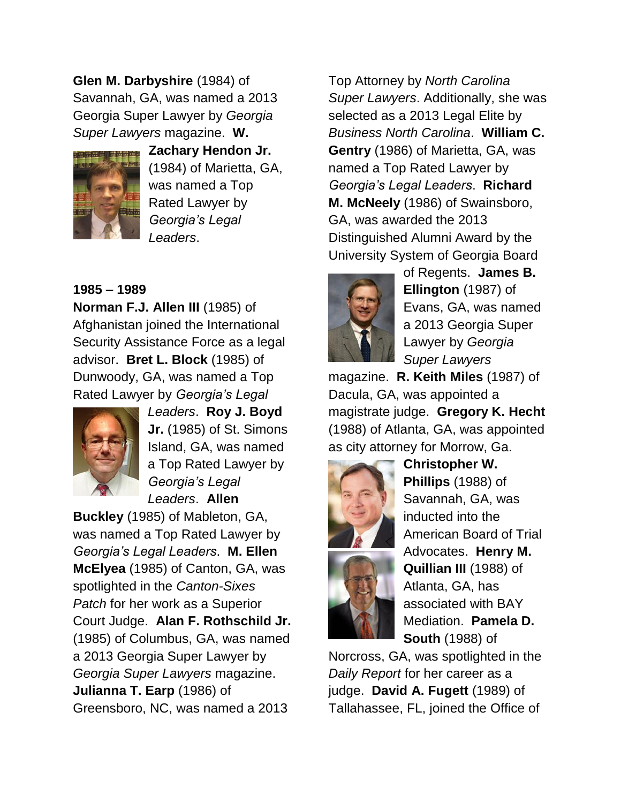**Glen M. Darbyshire** (1984) of Savannah, GA, was named a 2013 Georgia Super Lawyer by *Georgia Super Lawyers* magazine. **W.** 



**Zachary Hendon Jr.**  (1984) of Marietta, GA, was named a Top Rated Lawyer by *Georgia's Legal Leaders*.

# **1985 – 1989**

**Norman F.J. Allen III** (1985) of Afghanistan joined the International Security Assistance Force as a legal advisor. **Bret L. Block** (1985) of Dunwoody, GA, was named a Top Rated Lawyer by *Georgia's Legal* 



*Leaders*. **Roy J. Boyd Jr.** (1985) of St. Simons Island, GA, was named a Top Rated Lawyer by *Georgia's Legal Leaders*. **Allen** 

**Buckley** (1985) of Mableton, GA, was named a Top Rated Lawyer by *Georgia's Legal Leaders*. **M. Ellen McElyea** (1985) of Canton, GA, was spotlighted in the *Canton-Sixes Patch* for her work as a Superior Court Judge. **Alan F. Rothschild Jr.** (1985) of Columbus, GA, was named a 2013 Georgia Super Lawyer by *Georgia Super Lawyers* magazine. **Julianna T. Earp** (1986) of Greensboro, NC, was named a 2013

Top Attorney by *North Carolina Super Lawyers*. Additionally, she was selected as a 2013 Legal Elite by *Business North Carolina*. **William C. Gentry** (1986) of Marietta, GA, was named a Top Rated Lawyer by *Georgia's Legal Leaders*. **Richard M. McNeely** (1986) of Swainsboro, GA, was awarded the 2013 Distinguished Alumni Award by the University System of Georgia Board



of Regents. **James B. Ellington** (1987) of Evans, GA, was named a 2013 Georgia Super Lawyer by *Georgia Super Lawyers*

magazine. **R. Keith Miles** (1987) of Dacula, GA, was appointed a magistrate judge. **Gregory K. Hecht** (1988) of Atlanta, GA, was appointed as city attorney for Morrow, Ga.



**Christopher W. Phillips** (1988) of Savannah, GA, was inducted into the American Board of Trial Advocates. **Henry M. Quillian III** (1988) of Atlanta, GA, has associated with BAY Mediation. **Pamela D. South** (1988) of

Norcross, GA, was spotlighted in the *Daily Report* for her career as a judge. **David A. Fugett** (1989) of Tallahassee, FL, joined the Office of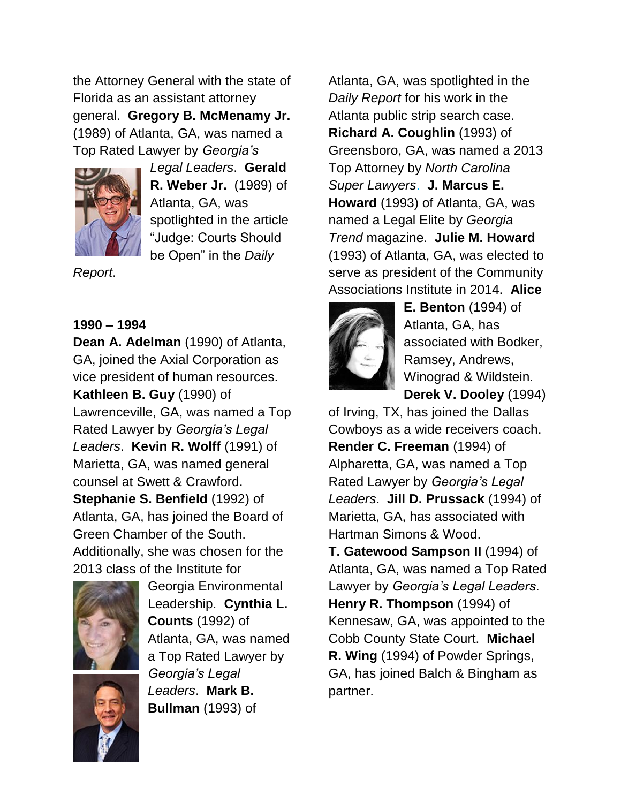the Attorney General with the state of Florida as an assistant attorney general. **Gregory B. McMenamy Jr.**  (1989) of Atlanta, GA, was named a Top Rated Lawyer by *Georgia's* 



*Legal Leaders*. **Gerald R. Weber Jr.** (1989) of Atlanta, GA, was spotlighted in the article "Judge: Courts Should be Open" in the *Daily* 

*Report*.

# **1990 – 1994**

**Dean A. Adelman** (1990) of Atlanta, GA, joined the Axial Corporation as vice president of human resources. **Kathleen B. Guy** (1990) of Lawrenceville, GA, was named a Top Rated Lawyer by *Georgia's Legal Leaders*. **Kevin R. Wolff** (1991) of Marietta, GA, was named general counsel at Swett & Crawford. **Stephanie S. Benfield** (1992) of Atlanta, GA, has joined the Board of Green Chamber of the South. Additionally, she was chosen for the 2013 class of the Institute for



Georgia Environmental Leadership. **Cynthia L. Counts** (1992) of Atlanta, GA, was named a Top Rated Lawyer by *Georgia's Legal Leaders*. **Mark B. Bullman** (1993) of

Atlanta, GA, was spotlighted in the *Daily Report* for his work in the Atlanta public strip search case. **Richard A. Coughlin** (1993) of Greensboro, GA, was named a 2013 Top Attorney by *North Carolina Super Lawyers*. **J. Marcus E. Howard** (1993) of Atlanta, GA, was named a Legal Elite by *Georgia Trend* magazine. **Julie M. Howard** (1993) of Atlanta, GA, was elected to serve as president of the Community Associations Institute in 2014. **Alice** 



**E. Benton** (1994) of Atlanta, GA, has associated with Bodker, Ramsey, Andrews, Winograd & Wildstein. **Derek V. Dooley** (1994)

of Irving, TX, has joined the Dallas Cowboys as a wide receivers coach. **Render C. Freeman** (1994) of Alpharetta, GA, was named a Top Rated Lawyer by *Georgia's Legal Leaders*. **Jill D. Prussack** (1994) of Marietta, GA, has associated with Hartman Simons & Wood.

**T. Gatewood Sampson II** (1994) of Atlanta, GA, was named a Top Rated Lawyer by *Georgia's Legal Leaders*. **Henry R. Thompson** (1994) of Kennesaw, GA, was appointed to the Cobb County State Court. **Michael R. Wing** (1994) of Powder Springs, GA, has joined Balch & Bingham as partner.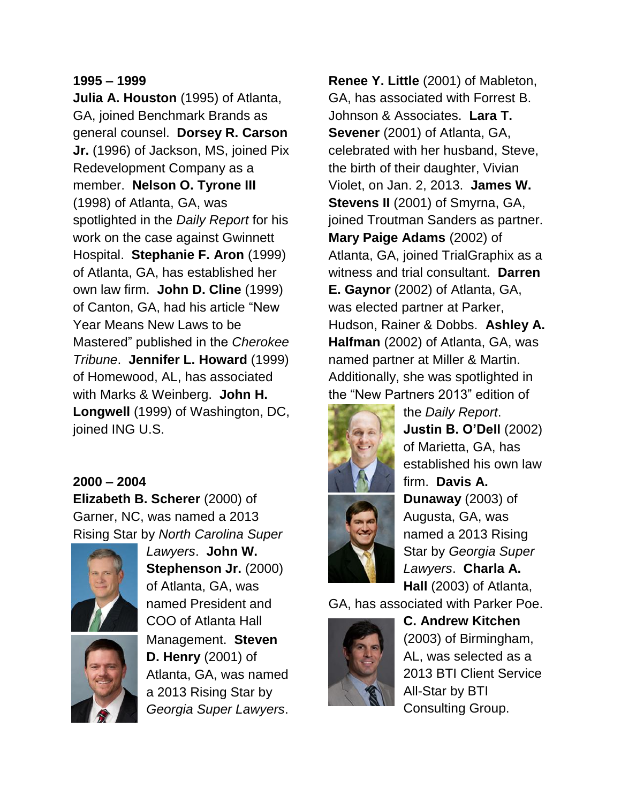#### **1995 – 1999**

**Julia A. Houston** (1995) of Atlanta, GA, joined Benchmark Brands as general counsel. **Dorsey R. Carson Jr.** (1996) of Jackson, MS, joined Pix Redevelopment Company as a member. **Nelson O. Tyrone III** (1998) of Atlanta, GA, was spotlighted in the *Daily Report* for his work on the case against Gwinnett Hospital. **Stephanie F. Aron** (1999) of Atlanta, GA, has established her own law firm. **John D. Cline** (1999) of Canton, GA, had his article "New Year Means New Laws to be Mastered" published in the *Cherokee Tribune*. **Jennifer L. Howard** (1999) of Homewood, AL, has associated with Marks & Weinberg. **John H. Longwell** (1999) of Washington, DC, joined ING U.S.

#### **2000 – 2004**

**Elizabeth B. Scherer** (2000) of Garner, NC, was named a 2013 Rising Star by *North Carolina Super* 



*Lawyers*. **John W. Stephenson Jr.** (2000) of Atlanta, GA, was named President and COO of Atlanta Hall Management. **Steven D. Henry** (2001) of Atlanta, GA, was named a 2013 Rising Star by *Georgia Super Lawyers*.

**Renee Y. Little** (2001) of Mableton, GA, has associated with Forrest B. Johnson & Associates. **Lara T. Sevener** (2001) of Atlanta, GA, celebrated with her husband, Steve, the birth of their daughter, Vivian Violet, on Jan. 2, 2013. **James W. Stevens II** (2001) of Smyrna, GA, joined Troutman Sanders as partner. **Mary Paige Adams** (2002) of Atlanta, GA, joined TrialGraphix as a witness and trial consultant. **Darren E. Gaynor** (2002) of Atlanta, GA, was elected partner at Parker, Hudson, Rainer & Dobbs. **Ashley A. Halfman** (2002) of Atlanta, GA, was named partner at Miller & Martin. Additionally, she was spotlighted in the "New Partners 2013" edition of



the *Daily Report*. **Justin B. O'Dell** (2002) of Marietta, GA, has established his own law firm. **Davis A. Dunaway** (2003) of Augusta, GA, was named a 2013 Rising Star by *Georgia Super Lawyers*. **Charla A. Hall** (2003) of Atlanta,

GA, has associated with Parker Poe.



**C. Andrew Kitchen** (2003) of Birmingham, AL, was selected as a 2013 BTI Client Service All-Star by BTI Consulting Group.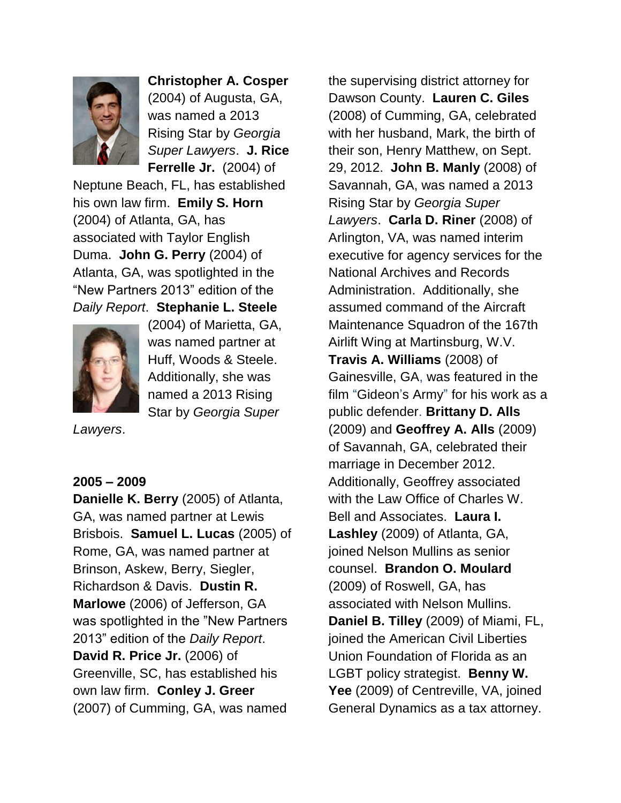

**Christopher A. Cosper** (2004) of Augusta, GA, was named a 2013 Rising Star by *Georgia Super Lawyers*. **J. Rice Ferrelle Jr.** (2004) of

Neptune Beach, FL, has established his own law firm. **Emily S. Horn** (2004) of Atlanta, GA, has associated with Taylor English Duma. **John G. Perry** (2004) of Atlanta, GA, was spotlighted in the "New Partners 2013" edition of the *Daily Report*. **Stephanie L. Steele**



(2004) of Marietta, GA, was named partner at Huff, Woods & Steele. Additionally, she was named a 2013 Rising Star by *Georgia Super* 

*Lawyers*.

#### **2005 – 2009**

**Danielle K. Berry** (2005) of Atlanta, GA, was named partner at Lewis Brisbois. **Samuel L. Lucas** (2005) of Rome, GA, was named partner at Brinson, Askew, Berry, Siegler, Richardson & Davis. **Dustin R. Marlowe** (2006) of Jefferson, GA was spotlighted in the "New Partners 2013" edition of the *Daily Report*. **David R. Price Jr.** (2006) of Greenville, SC, has established his own law firm. **Conley J. Greer** (2007) of Cumming, GA, was named

the supervising district attorney for Dawson County. **Lauren C. Giles** (2008) of Cumming, GA, celebrated with her husband, Mark, the birth of their son, Henry Matthew, on Sept. 29, 2012. **John B. Manly** (2008) of Savannah, GA, was named a 2013 Rising Star by *Georgia Super Lawyers*. **Carla D. Riner** (2008) of Arlington, VA, was named interim executive for agency services for the National Archives and Records Administration. Additionally, she assumed command of the Aircraft Maintenance Squadron of the 167th Airlift Wing at Martinsburg, W.V. **Travis A. Williams** (2008) of Gainesville, GA, was featured in the film "Gideon's Army" for his work as a public defender. **Brittany D. Alls**  (2009) and **Geoffrey A. Alls** (2009) of Savannah, GA, celebrated their marriage in December 2012. Additionally, Geoffrey associated with the Law Office of Charles W. Bell and Associates. **Laura I. Lashley** (2009) of Atlanta, GA, joined Nelson Mullins as senior counsel. **Brandon O. Moulard** (2009) of Roswell, GA, has associated with Nelson Mullins. **Daniel B. Tilley** (2009) of Miami, FL, joined the American Civil Liberties Union Foundation of Florida as an LGBT policy strategist. **Benny W. Yee** (2009) of Centreville, VA, joined General Dynamics as a tax attorney.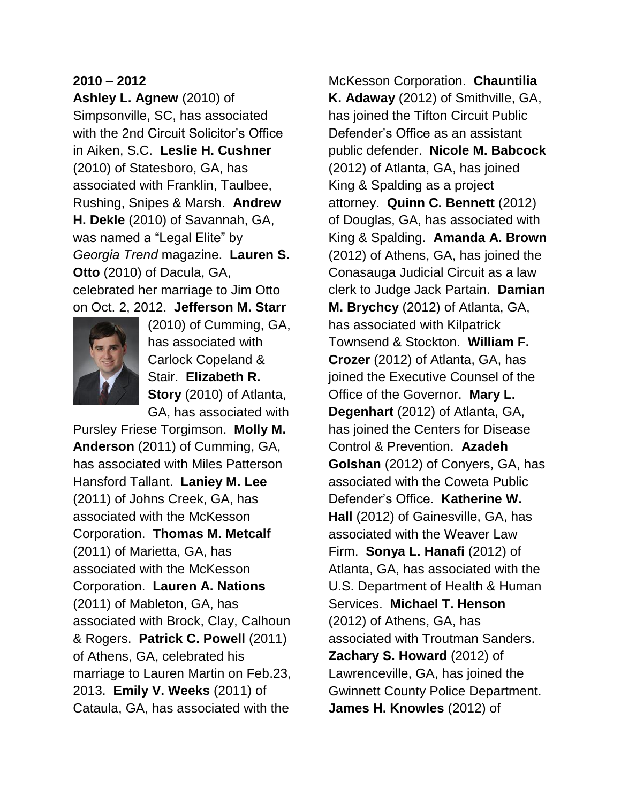### **2010 – 2012**

**Ashley L. Agnew** (2010) of Simpsonville, SC, has associated with the 2nd Circuit Solicitor's Office in Aiken, S.C. **Leslie H. Cushner** (2010) of Statesboro, GA, has associated with Franklin, Taulbee, Rushing, Snipes & Marsh. **Andrew H. Dekle** (2010) of Savannah, GA, was named a "Legal Elite" by *Georgia Trend* magazine. **Lauren S. Otto** (2010) of Dacula, GA, celebrated her marriage to Jim Otto on Oct. 2, 2012. **Jefferson M. Starr**



(2010) of Cumming, GA, has associated with Carlock Copeland & Stair. **Elizabeth R. Story** (2010) of Atlanta, GA, has associated with

Pursley Friese Torgimson. **Molly M. Anderson** (2011) of Cumming, GA, has associated with Miles Patterson Hansford Tallant. **Laniey M. Lee** (2011) of Johns Creek, GA, has associated with the McKesson Corporation. **Thomas M. Metcalf** (2011) of Marietta, GA, has associated with the McKesson Corporation. **Lauren A. Nations** (2011) of Mableton, GA, has associated with Brock, Clay, Calhoun & Rogers. **Patrick C. Powell** (2011) of Athens, GA, celebrated his marriage to Lauren Martin on Feb.23, 2013. **Emily V. Weeks** (2011) of Cataula, GA, has associated with the

McKesson Corporation. **Chauntilia K. Adaway** (2012) of Smithville, GA, has joined the Tifton Circuit Public Defender's Office as an assistant public defender. **Nicole M. Babcock** (2012) of Atlanta, GA, has joined King & Spalding as a project attorney. **Quinn C. Bennett** (2012) of Douglas, GA, has associated with King & Spalding. **Amanda A. Brown** (2012) of Athens, GA, has joined the Conasauga Judicial Circuit as a law clerk to Judge Jack Partain. **Damian M. Brychcy** (2012) of Atlanta, GA, has associated with Kilpatrick Townsend & Stockton. **William F. Crozer** (2012) of Atlanta, GA, has joined the Executive Counsel of the Office of the Governor. **Mary L. Degenhart** (2012) of Atlanta, GA, has joined the Centers for Disease Control & Prevention. **Azadeh Golshan** (2012) of Conyers, GA, has associated with the Coweta Public Defender's Office. **Katherine W. Hall** (2012) of Gainesville, GA, has associated with the Weaver Law Firm. **Sonya L. Hanafi** (2012) of Atlanta, GA, has associated with the U.S. Department of Health & Human Services. **Michael T. Henson** (2012) of Athens, GA, has associated with Troutman Sanders. **Zachary S. Howard** (2012) of Lawrenceville, GA, has joined the Gwinnett County Police Department. **James H. Knowles** (2012) of